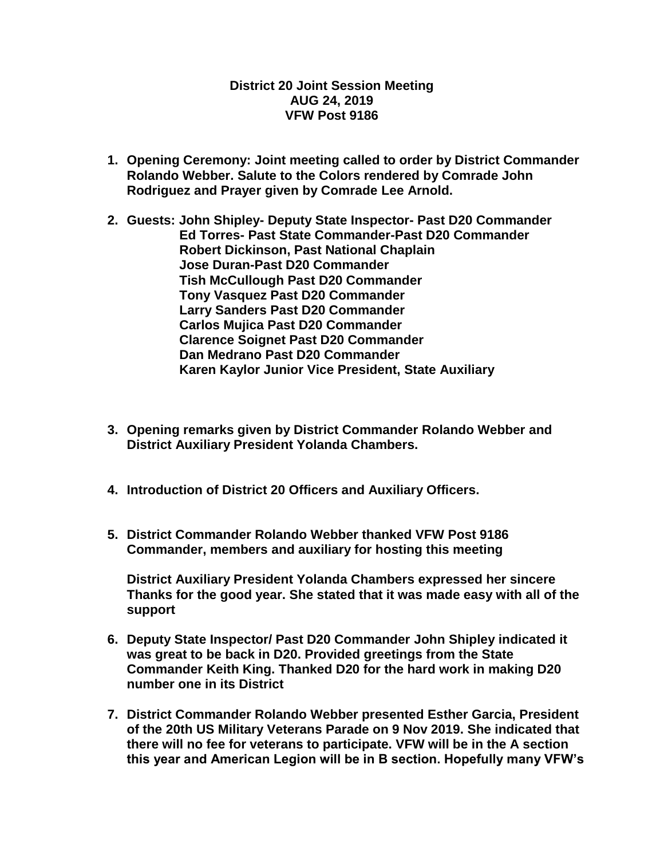## **District 20 Joint Session Meeting AUG 24, 2019 VFW Post 9186**

- **1. Opening Ceremony: Joint meeting called to order by District Commander Rolando Webber. Salute to the Colors rendered by Comrade John Rodriguez and Prayer given by Comrade Lee Arnold.**
- **2. Guests: John Shipley- Deputy State Inspector- Past D20 Commander Ed Torres- Past State Commander-Past D20 Commander Robert Dickinson, Past National Chaplain Jose Duran-Past D20 Commander Tish McCullough Past D20 Commander Tony Vasquez Past D20 Commander Larry Sanders Past D20 Commander Carlos Mujica Past D20 Commander Clarence Soignet Past D20 Commander Dan Medrano Past D20 Commander Karen Kaylor Junior Vice President, State Auxiliary**
- **3. Opening remarks given by District Commander Rolando Webber and District Auxiliary President Yolanda Chambers.**
- **4. Introduction of District 20 Officers and Auxiliary Officers.**
- **5. District Commander Rolando Webber thanked VFW Post 9186 Commander, members and auxiliary for hosting this meeting**

**District Auxiliary President Yolanda Chambers expressed her sincere Thanks for the good year. She stated that it was made easy with all of the support**

- **6. Deputy State Inspector/ Past D20 Commander John Shipley indicated it was great to be back in D20. Provided greetings from the State Commander Keith King. Thanked D20 for the hard work in making D20 number one in its District**
- **7. District Commander Rolando Webber presented Esther Garcia, President of the 20th US Military Veterans Parade on 9 Nov 2019. She indicated that there will no fee for veterans to participate. VFW will be in the A section this year and American Legion will be in B section. Hopefully many VFW's**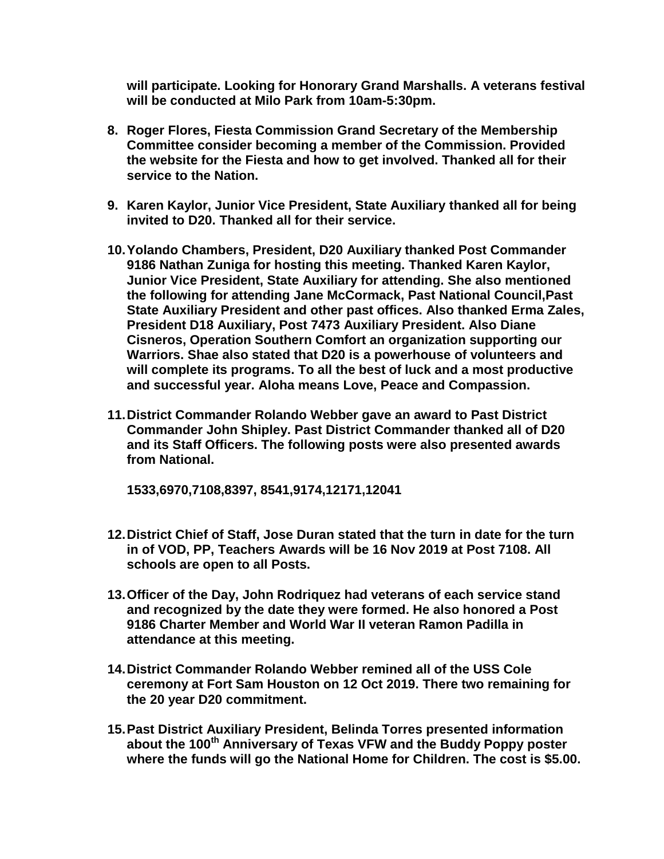**will participate. Looking for Honorary Grand Marshalls. A veterans festival will be conducted at Milo Park from 10am-5:30pm.**

- **8. Roger Flores, Fiesta Commission Grand Secretary of the Membership Committee consider becoming a member of the Commission. Provided the website for the Fiesta and how to get involved. Thanked all for their service to the Nation.**
- **9. Karen Kaylor, Junior Vice President, State Auxiliary thanked all for being invited to D20. Thanked all for their service.**
- **10.Yolando Chambers, President, D20 Auxiliary thanked Post Commander 9186 Nathan Zuniga for hosting this meeting. Thanked Karen Kaylor, Junior Vice President, State Auxiliary for attending. She also mentioned the following for attending Jane McCormack, Past National Council,Past State Auxiliary President and other past offices. Also thanked Erma Zales, President D18 Auxiliary, Post 7473 Auxiliary President. Also Diane Cisneros, Operation Southern Comfort an organization supporting our Warriors. Shae also stated that D20 is a powerhouse of volunteers and will complete its programs. To all the best of luck and a most productive and successful year. Aloha means Love, Peace and Compassion.**
- **11.District Commander Rolando Webber gave an award to Past District Commander John Shipley. Past District Commander thanked all of D20 and its Staff Officers. The following posts were also presented awards from National.**

**1533,6970,7108,8397, 8541,9174,12171,12041**

- **12.District Chief of Staff, Jose Duran stated that the turn in date for the turn in of VOD, PP, Teachers Awards will be 16 Nov 2019 at Post 7108. All schools are open to all Posts.**
- **13.Officer of the Day, John Rodriquez had veterans of each service stand and recognized by the date they were formed. He also honored a Post 9186 Charter Member and World War II veteran Ramon Padilla in attendance at this meeting.**
- **14.District Commander Rolando Webber remined all of the USS Cole ceremony at Fort Sam Houston on 12 Oct 2019. There two remaining for the 20 year D20 commitment.**
- **15.Past District Auxiliary President, Belinda Torres presented information about the 100th Anniversary of Texas VFW and the Buddy Poppy poster where the funds will go the National Home for Children. The cost is \$5.00.**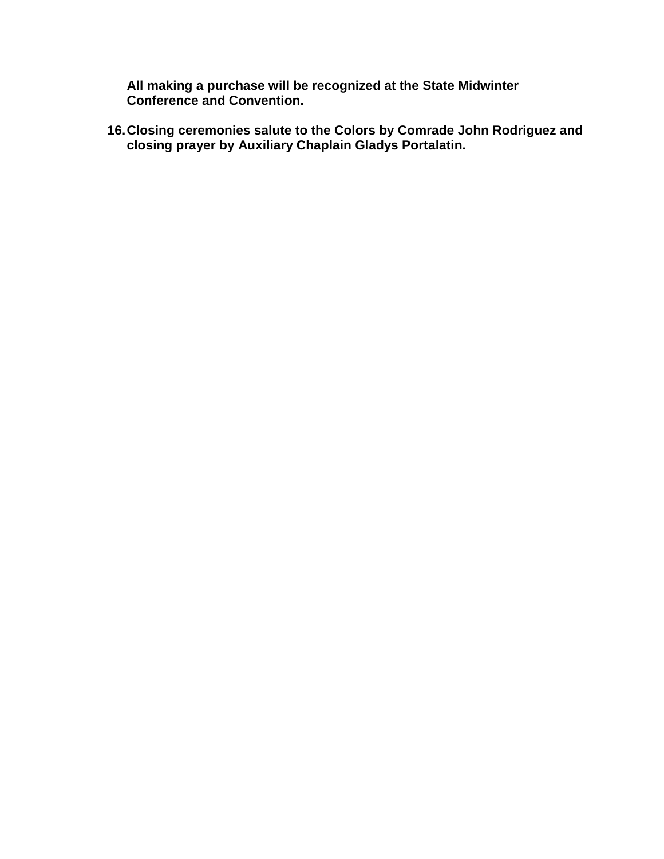**All making a purchase will be recognized at the State Midwinter Conference and Convention.**

**16.Closing ceremonies salute to the Colors by Comrade John Rodriguez and closing prayer by Auxiliary Chaplain Gladys Portalatin.**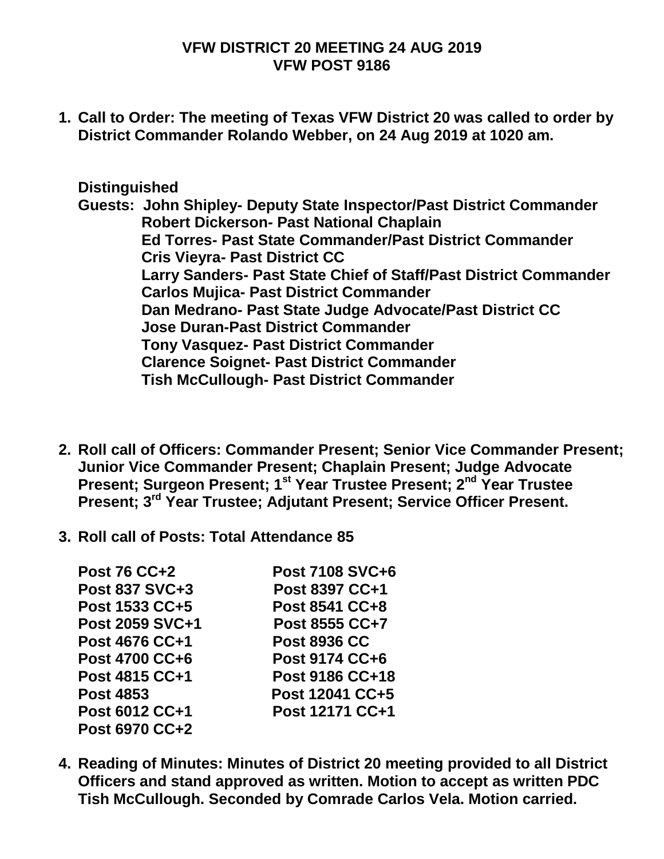## **VFW DISTRICT 20 MEETING 24 AUG 2019 VFW POST 9186**

**1. Call to Order: The meeting of Texas VFW District 20 was called to order by District Commander Rolando Webber, on 24 Aug 2019 at 1020 am.**

## **Distinguished**

**Guests: John Shipley- Deputy State Inspector/Past District Commander Robert Dickerson- Past National Chaplain Ed Torres- Past State Commander/Past District Commander Cris Vieyra- Past District CC Larry Sanders- Past State Chief of Staff/Past District Commander Carlos Mujica- Past District Commander Dan Medrano- Past State Judge Advocate/Past District CC Jose Duran-Past District Commander Tony Vasquez- Past District Commander Clarence Soignet- Past District Commander Tish McCullough- Past District Commander**

- **2. Roll call of Officers: Commander Present; Senior Vice Commander Present; Junior Vice Commander Present; Chaplain Present; Judge Advocate Present; Surgeon Present; 1st Year Trustee Present; 2nd Year Trustee Present; 3rd Year Trustee; Adjutant Present; Service Officer Present.**
- **3. Roll call of Posts: Total Attendance 85**

| <b>Post 76 CC+2</b>    | Post 7108 SVC+6       |
|------------------------|-----------------------|
| Post 837 SVC+3         | Post 8397 CC+1        |
| Post 1533 CC+5         | <b>Post 8541 CC+8</b> |
| <b>Post 2059 SVC+1</b> | <b>Post 8555 CC+7</b> |
| <b>Post 4676 CC+1</b>  | <b>Post 8936 CC</b>   |
| Post 4700 CC+6         | Post 9174 CC+6        |
| Post 4815 CC+1         | Post 9186 CC+18       |
| <b>Post 4853</b>       | Post 12041 CC+5       |
| Post 6012 CC+1         | Post 12171 CC+1       |
| <b>Post 6970 CC+2</b>  |                       |

**4. Reading of Minutes: Minutes of District 20 meeting provided to all District Officers and stand approved as written. Motion to accept as written PDC Tish McCullough. Seconded by Comrade Carlos Vela. Motion carried.**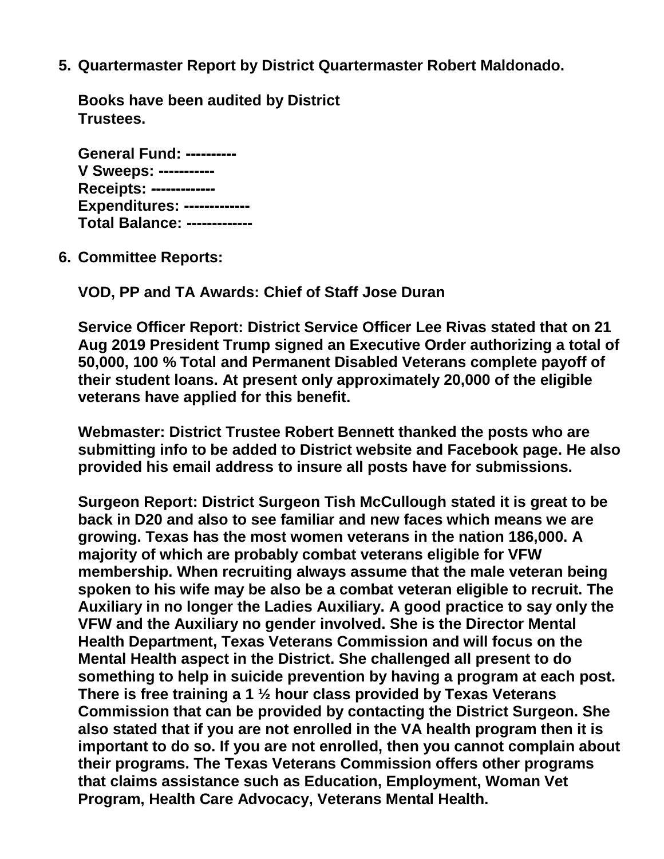**5. Quartermaster Report by District Quartermaster Robert Maldonado.**

**Books have been audited by District Trustees.** 

| <b>General Fund: ----------</b>     |
|-------------------------------------|
| V Sweeps: ----------                |
| Receipts: ------------              |
| <b>Expenditures: -------------</b>  |
| <b>Total Balance: -------------</b> |

**6. Committee Reports:**

**VOD, PP and TA Awards: Chief of Staff Jose Duran** 

**Service Officer Report: District Service Officer Lee Rivas stated that on 21 Aug 2019 President Trump signed an Executive Order authorizing a total of 50,000, 100 % Total and Permanent Disabled Veterans complete payoff of their student loans. At present only approximately 20,000 of the eligible veterans have applied for this benefit.** 

**Webmaster: District Trustee Robert Bennett thanked the posts who are submitting info to be added to District website and Facebook page. He also provided his email address to insure all posts have for submissions.** 

**Surgeon Report: District Surgeon Tish McCullough stated it is great to be back in D20 and also to see familiar and new faces which means we are growing. Texas has the most women veterans in the nation 186,000. A majority of which are probably combat veterans eligible for VFW membership. When recruiting always assume that the male veteran being spoken to his wife may be also be a combat veteran eligible to recruit. The Auxiliary in no longer the Ladies Auxiliary. A good practice to say only the VFW and the Auxiliary no gender involved. She is the Director Mental Health Department, Texas Veterans Commission and will focus on the Mental Health aspect in the District. She challenged all present to do something to help in suicide prevention by having a program at each post. There is free training a 1 ½ hour class provided by Texas Veterans Commission that can be provided by contacting the District Surgeon. She also stated that if you are not enrolled in the VA health program then it is important to do so. If you are not enrolled, then you cannot complain about their programs. The Texas Veterans Commission offers other programs that claims assistance such as Education, Employment, Woman Vet Program, Health Care Advocacy, Veterans Mental Health.**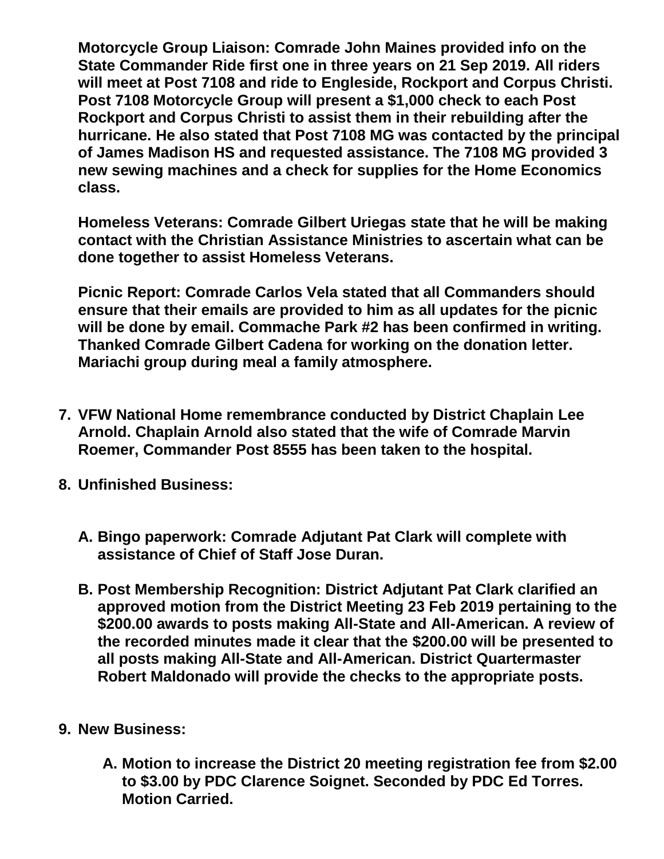**Motorcycle Group Liaison: Comrade John Maines provided info on the State Commander Ride first one in three years on 21 Sep 2019. All riders will meet at Post 7108 and ride to Engleside, Rockport and Corpus Christi. Post 7108 Motorcycle Group will present a \$1,000 check to each Post Rockport and Corpus Christi to assist them in their rebuilding after the hurricane. He also stated that Post 7108 MG was contacted by the principal of James Madison HS and requested assistance. The 7108 MG provided 3 new sewing machines and a check for supplies for the Home Economics class.** 

**Homeless Veterans: Comrade Gilbert Uriegas state that he will be making contact with the Christian Assistance Ministries to ascertain what can be done together to assist Homeless Veterans.** 

**Picnic Report: Comrade Carlos Vela stated that all Commanders should ensure that their emails are provided to him as all updates for the picnic will be done by email. Commache Park #2 has been confirmed in writing. Thanked Comrade Gilbert Cadena for working on the donation letter. Mariachi group during meal a family atmosphere.** 

- **7. VFW National Home remembrance conducted by District Chaplain Lee Arnold. Chaplain Arnold also stated that the wife of Comrade Marvin Roemer, Commander Post 8555 has been taken to the hospital.**
- **8. Unfinished Business:**
	- **A. Bingo paperwork: Comrade Adjutant Pat Clark will complete with assistance of Chief of Staff Jose Duran.**
	- **B. Post Membership Recognition: District Adjutant Pat Clark clarified an approved motion from the District Meeting 23 Feb 2019 pertaining to the \$200.00 awards to posts making All-State and All-American. A review of the recorded minutes made it clear that the \$200.00 will be presented to all posts making All-State and All-American. District Quartermaster Robert Maldonado will provide the checks to the appropriate posts.**
- **9. New Business:**
	- **A. Motion to increase the District 20 meeting registration fee from \$2.00 to \$3.00 by PDC Clarence Soignet. Seconded by PDC Ed Torres. Motion Carried.**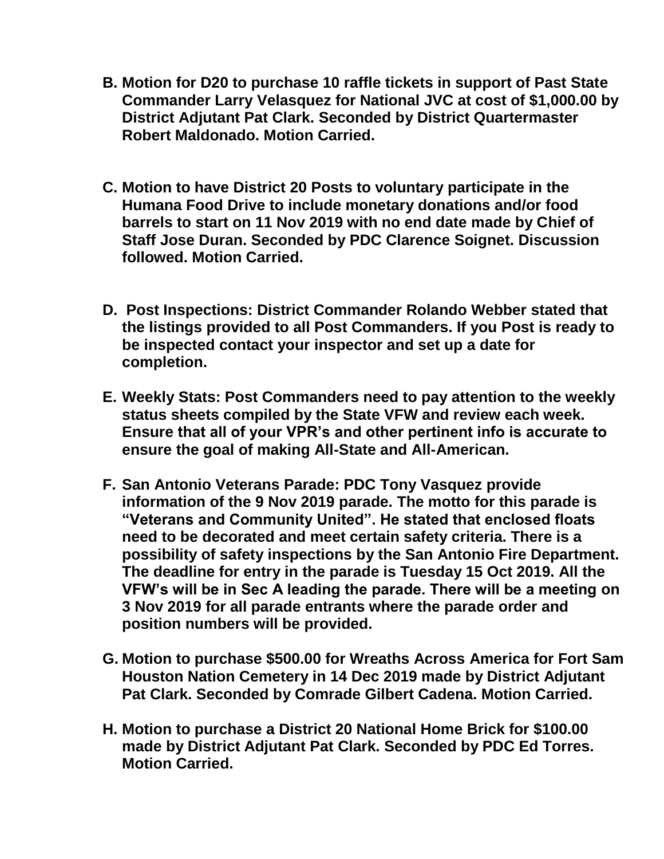- **B. Motion for D20 to purchase 10 raffle tickets in support of Past State Commander Larry Velasquez for National JVC at cost of \$1,000.00 by District Adjutant Pat Clark. Seconded by District Quartermaster Robert Maldonado. Motion Carried.**
- **C. Motion to have District 20 Posts to voluntary participate in the Humana Food Drive to include monetary donations and/or food barrels to start on 11 Nov 2019 with no end date made by Chief of Staff Jose Duran. Seconded by PDC Clarence Soignet. Discussion followed. Motion Carried.**
- **D. Post Inspections: District Commander Rolando Webber stated that the listings provided to all Post Commanders. If you Post is ready to be inspected contact your inspector and set up a date for completion.**
- **E. Weekly Stats: Post Commanders need to pay attention to the weekly status sheets compiled by the State VFW and review each week. Ensure that all of your VPR's and other pertinent info is accurate to ensure the goal of making All-State and All-American.**
- **F. San Antonio Veterans Parade: PDC Tony Vasquez provide information of the 9 Nov 2019 parade. The motto for this parade is "Veterans and Community United". He stated that enclosed floats need to be decorated and meet certain safety criteria. There is a possibility of safety inspections by the San Antonio Fire Department. The deadline for entry in the parade is Tuesday 15 Oct 2019. All the VFW's will be in Sec A leading the parade. There will be a meeting on 3 Nov 2019 for all parade entrants where the parade order and position numbers will be provided.**
- **G. Motion to purchase \$500.00 for Wreaths Across America for Fort Sam Houston Nation Cemetery in 14 Dec 2019 made by District Adjutant Pat Clark. Seconded by Comrade Gilbert Cadena. Motion Carried.**
- **H. Motion to purchase a District 20 National Home Brick for \$100.00 made by District Adjutant Pat Clark. Seconded by PDC Ed Torres. Motion Carried.**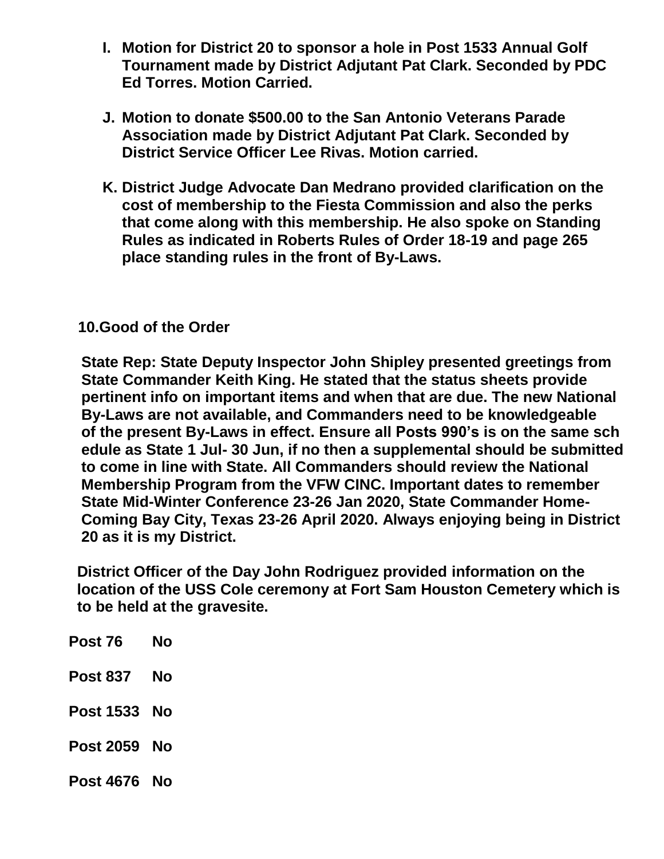- **I. Motion for District 20 to sponsor a hole in Post 1533 Annual Golf Tournament made by District Adjutant Pat Clark. Seconded by PDC Ed Torres. Motion Carried.**
- **J. Motion to donate \$500.00 to the San Antonio Veterans Parade Association made by District Adjutant Pat Clark. Seconded by District Service Officer Lee Rivas. Motion carried.**
- **K. District Judge Advocate Dan Medrano provided clarification on the cost of membership to the Fiesta Commission and also the perks that come along with this membership. He also spoke on Standing Rules as indicated in Roberts Rules of Order 18-19 and page 265 place standing rules in the front of By-Laws.**

## **10.Good of the Order**

 **State Rep: State Deputy Inspector John Shipley presented greetings from State Commander Keith King. He stated that the status sheets provide pertinent info on important items and when that are due. The new National By-Laws are not available, and Commanders need to be knowledgeable of the present By-Laws in effect. Ensure all Posts 990's is on the same sch edule as State 1 Jul- 30 Jun, if no then a supplemental should be submitted to come in line with State. All Commanders should review the National Membership Program from the VFW CINC. Important dates to remember State Mid-Winter Conference 23-26 Jan 2020, State Commander Home- Coming Bay City, Texas 23-26 April 2020. Always enjoying being in District 20 as it is my District.**

 **District Officer of the Day John Rodriguez provided information on the location of the USS Cole ceremony at Fort Sam Houston Cemetery which is to be held at the gravesite.**

| Post 76             | Nο |
|---------------------|----|
| Post 837            | No |
| <b>Post 1533 No</b> |    |
| <b>Post 2059 No</b> |    |
| <b>Post 4676 No</b> |    |